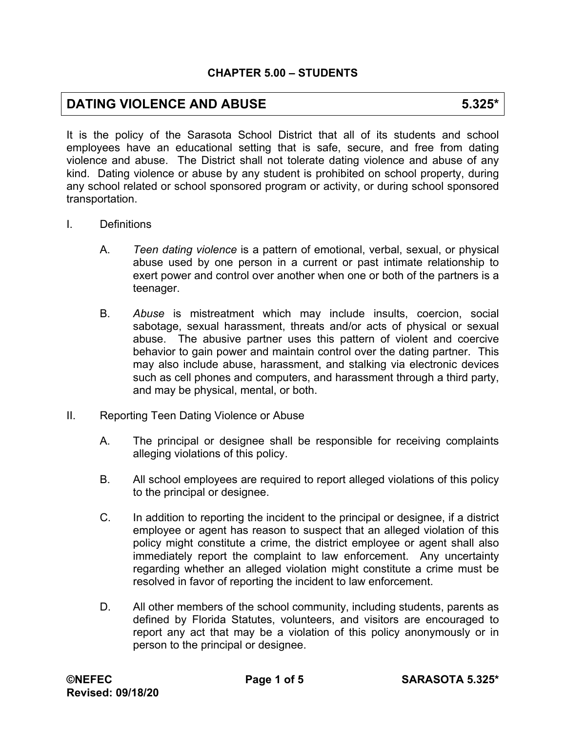# **DATING VIOLENCE AND ABUSE 6.325\***

It is the policy of the Sarasota School District that all of its students and school employees have an educational setting that is safe, secure, and free from dating violence and abuse. The District shall not tolerate dating violence and abuse of any kind. Dating violence or abuse by any student is prohibited on school property, during any school related or school sponsored program or activity, or during school sponsored transportation.

- I. Definitions
	- A. *Teen dating violence* is a pattern of emotional, verbal, sexual, or physical abuse used by one person in a current or past intimate relationship to exert power and control over another when one or both of the partners is a teenager.
	- B. *Abuse* is mistreatment which may include insults, coercion, social sabotage, sexual harassment, threats and/or acts of physical or sexual abuse. The abusive partner uses this pattern of violent and coercive behavior to gain power and maintain control over the dating partner. This may also include abuse, harassment, and stalking via electronic devices such as cell phones and computers, and harassment through a third party, and may be physical, mental, or both.
- II. Reporting Teen Dating Violence or Abuse
	- A. The principal or designee shall be responsible for receiving complaints alleging violations of this policy.
	- B. All school employees are required to report alleged violations of this policy to the principal or designee.
	- C. In addition to reporting the incident to the principal or designee, if a district employee or agent has reason to suspect that an alleged violation of this policy might constitute a crime, the district employee or agent shall also immediately report the complaint to law enforcement. Any uncertainty regarding whether an alleged violation might constitute a crime must be resolved in favor of reporting the incident to law enforcement.
	- D. All other members of the school community, including students, parents as defined by Florida Statutes, volunteers, and visitors are encouraged to report any act that may be a violation of this policy anonymously or in person to the principal or designee.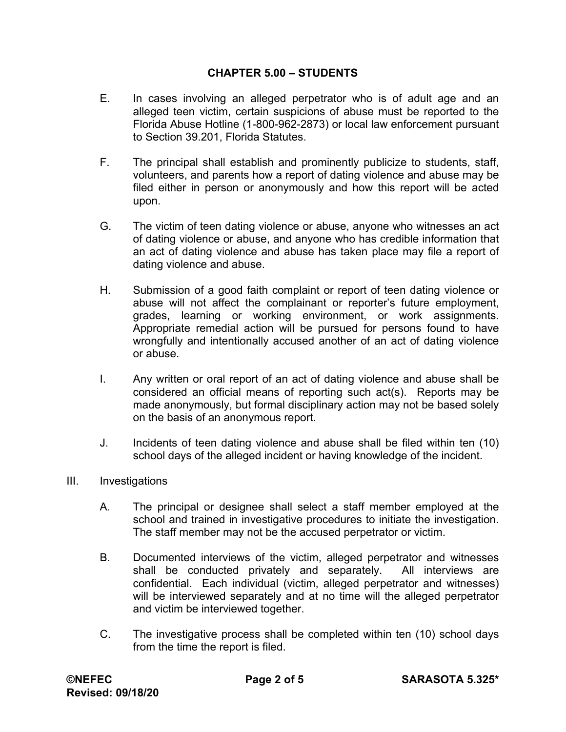- E. In cases involving an alleged perpetrator who is of adult age and an alleged teen victim, certain suspicions of abuse must be reported to the Florida Abuse Hotline (1-800-962-2873) or local law enforcement pursuant to Section 39.201, Florida Statutes.
- F. The principal shall establish and prominently publicize to students, staff, volunteers, and parents how a report of dating violence and abuse may be filed either in person or anonymously and how this report will be acted upon.
- G. The victim of teen dating violence or abuse, anyone who witnesses an act of dating violence or abuse, and anyone who has credible information that an act of dating violence and abuse has taken place may file a report of dating violence and abuse.
- H. Submission of a good faith complaint or report of teen dating violence or abuse will not affect the complainant or reporter's future employment, grades, learning or working environment, or work assignments. Appropriate remedial action will be pursued for persons found to have wrongfully and intentionally accused another of an act of dating violence or abuse.
- I. Any written or oral report of an act of dating violence and abuse shall be considered an official means of reporting such act(s). Reports may be made anonymously, but formal disciplinary action may not be based solely on the basis of an anonymous report.
- J. Incidents of teen dating violence and abuse shall be filed within ten (10) school days of the alleged incident or having knowledge of the incident.
- III. Investigations
	- A. The principal or designee shall select a staff member employed at the school and trained in investigative procedures to initiate the investigation. The staff member may not be the accused perpetrator or victim.
	- B. Documented interviews of the victim, alleged perpetrator and witnesses shall be conducted privately and separately. All interviews are confidential. Each individual (victim, alleged perpetrator and witnesses) will be interviewed separately and at no time will the alleged perpetrator and victim be interviewed together.
	- C. The investigative process shall be completed within ten (10) school days from the time the report is filed.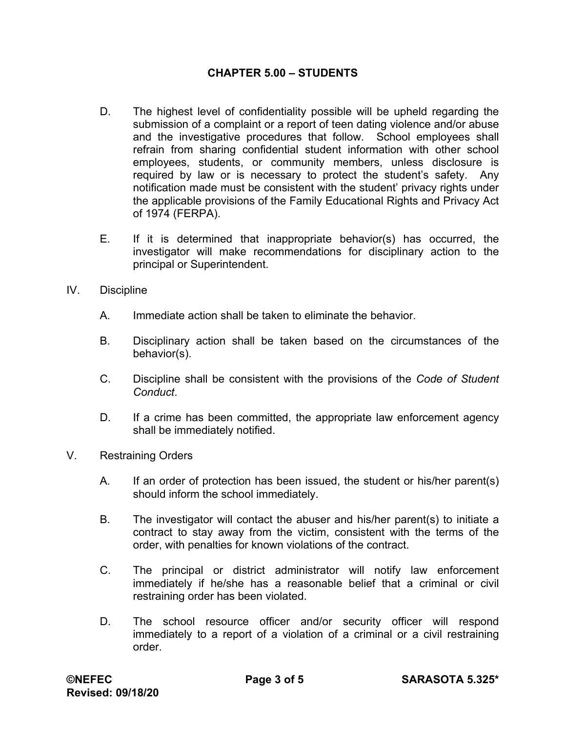- D. The highest level of confidentiality possible will be upheld regarding the submission of a complaint or a report of teen dating violence and/or abuse and the investigative procedures that follow. School employees shall refrain from sharing confidential student information with other school employees, students, or community members, unless disclosure is required by law or is necessary to protect the student's safety. Any notification made must be consistent with the student' privacy rights under the applicable provisions of the Family Educational Rights and Privacy Act of 1974 (FERPA).
- E. If it is determined that inappropriate behavior(s) has occurred, the investigator will make recommendations for disciplinary action to the principal or Superintendent.
- IV. Discipline
	- A. Immediate action shall be taken to eliminate the behavior.
	- B. Disciplinary action shall be taken based on the circumstances of the behavior(s).
	- C. Discipline shall be consistent with the provisions of the *Code of Student Conduct*.
	- D. If a crime has been committed, the appropriate law enforcement agency shall be immediately notified.
- V. Restraining Orders
	- A. If an order of protection has been issued, the student or his/her parent(s) should inform the school immediately.
	- B. The investigator will contact the abuser and his/her parent(s) to initiate a contract to stay away from the victim, consistent with the terms of the order, with penalties for known violations of the contract.
	- C. The principal or district administrator will notify law enforcement immediately if he/she has a reasonable belief that a criminal or civil restraining order has been violated.
	- D. The school resource officer and/or security officer will respond immediately to a report of a violation of a criminal or a civil restraining order.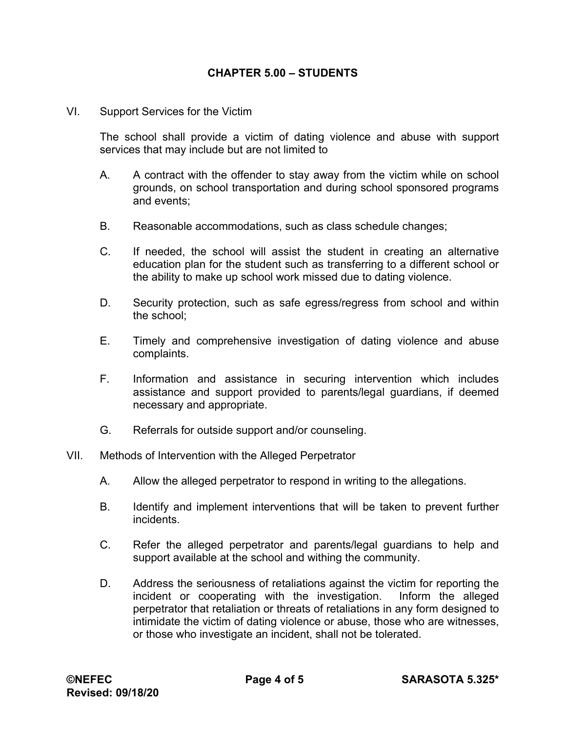VI. Support Services for the Victim

The school shall provide a victim of dating violence and abuse with support services that may include but are not limited to

- A. A contract with the offender to stay away from the victim while on school grounds, on school transportation and during school sponsored programs and events;
- B. Reasonable accommodations, such as class schedule changes;
- C. If needed, the school will assist the student in creating an alternative education plan for the student such as transferring to a different school or the ability to make up school work missed due to dating violence.
- D. Security protection, such as safe egress/regress from school and within the school;
- E. Timely and comprehensive investigation of dating violence and abuse complaints.
- F. Information and assistance in securing intervention which includes assistance and support provided to parents/legal guardians, if deemed necessary and appropriate.
- G. Referrals for outside support and/or counseling.
- VII. Methods of Intervention with the Alleged Perpetrator
	- A. Allow the alleged perpetrator to respond in writing to the allegations.
	- B. Identify and implement interventions that will be taken to prevent further incidents.
	- C. Refer the alleged perpetrator and parents/legal guardians to help and support available at the school and withing the community.
	- D. Address the seriousness of retaliations against the victim for reporting the incident or cooperating with the investigation. Inform the alleged perpetrator that retaliation or threats of retaliations in any form designed to intimidate the victim of dating violence or abuse, those who are witnesses, or those who investigate an incident, shall not be tolerated.